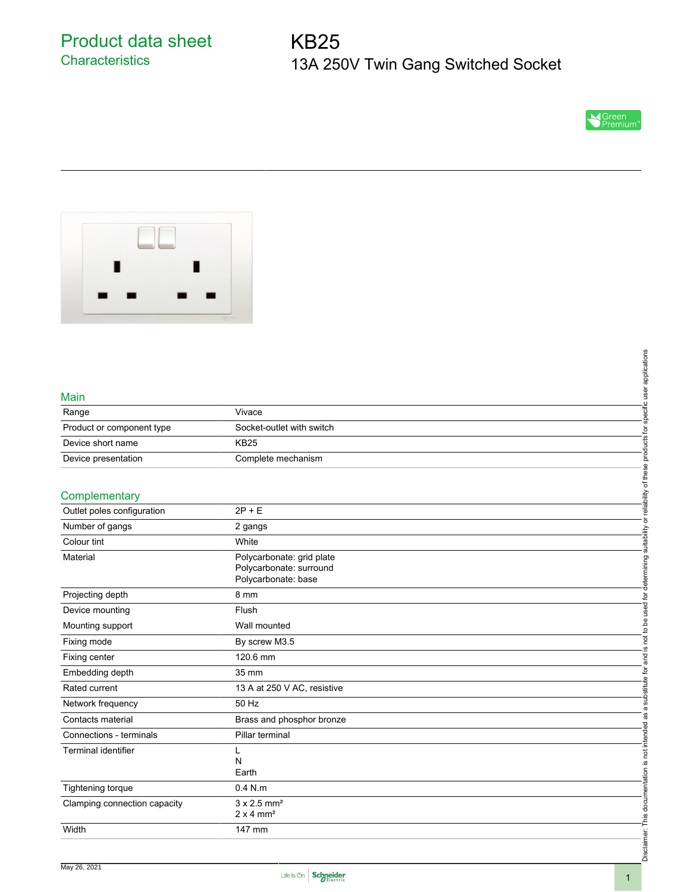Product data sheet **Characteristics** 

# KB25 13A 250V Twin Gang Switched Socket





#### Main

|                           |                           | plicatio      |
|---------------------------|---------------------------|---------------|
| Main                      |                           |               |
| Range                     | Vivace                    |               |
| Product or component type | Socket-outlet with switch |               |
| Device short name         | <b>KB25</b>               |               |
| Device presentation       | Complete mechanism        |               |
|                           |                           |               |
| Complementary             |                           | <b>Allity</b> |

#### **Complementary**

|                              |                                                                | specific user applications                                                         |
|------------------------------|----------------------------------------------------------------|------------------------------------------------------------------------------------|
| Main                         |                                                                |                                                                                    |
| Range                        | Vivace                                                         |                                                                                    |
| Product or component type    | Socket-outlet with switch                                      |                                                                                    |
| Device short name            | <b>KB25</b>                                                    |                                                                                    |
| Device presentation          | Complete mechanism                                             |                                                                                    |
|                              |                                                                |                                                                                    |
| Complementary                |                                                                | is not to be used for determining suitability or reliability of these products for |
| Outlet poles configuration   | $2P + E$                                                       |                                                                                    |
| Number of gangs              | 2 gangs                                                        |                                                                                    |
| Colour tint                  | White                                                          |                                                                                    |
| Material                     | Polycarbonate: grid plate                                      |                                                                                    |
|                              | Polycarbonate: surround                                        |                                                                                    |
|                              | Polycarbonate: base                                            |                                                                                    |
| Projecting depth             | 8 mm                                                           |                                                                                    |
| Device mounting              | Flush                                                          |                                                                                    |
| Mounting support             | Wall mounted                                                   |                                                                                    |
| Fixing mode                  | By screw M3.5                                                  |                                                                                    |
| Fixing center                | 120.6 mm                                                       |                                                                                    |
| Embedding depth              | 35 mm                                                          |                                                                                    |
| Rated current                | 13 A at 250 V AC, resistive                                    |                                                                                    |
| Network frequency            | 50 Hz                                                          |                                                                                    |
| Contacts material            | Brass and phosphor bronze                                      |                                                                                    |
| Connections - terminals      | Pillar terminal                                                |                                                                                    |
| Terminal identifier          | L                                                              |                                                                                    |
|                              | N<br>Earth                                                     |                                                                                    |
|                              |                                                                |                                                                                    |
| Tightening torque            | $0.4$ N.m                                                      |                                                                                    |
| Clamping connection capacity | $3 \times 2.5$ mm <sup>2</sup><br>$2 \times 4$ mm <sup>2</sup> |                                                                                    |
| Width                        | 147 mm                                                         |                                                                                    |
|                              |                                                                | Disclaimer: This documentation is not intended as a substitute for and             |